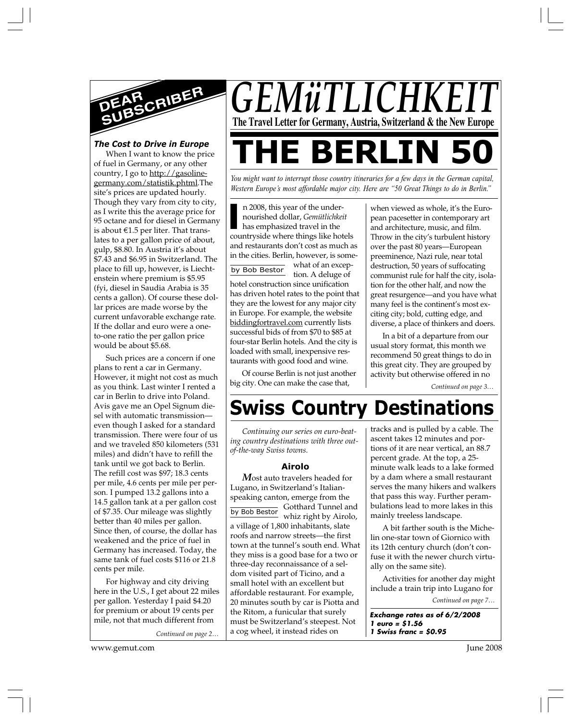

### *The Cost to Drive in Europe*

When I want to know the price of fuel in Germany, or any other country, I go to http://gasolinegermany.com/statistik.phtml.The site's prices are updated hourly. Though they vary from city to city, as I write this the average price for 95 octane and for diesel in Germany is about E1.5 per liter. That translates to a per gallon price of about, gulp, \$8.80. In Austria it's about \$7.43 and \$6.95 in Switzerland. The place to fill up, however, is Liechtenstein where premium is \$5.95 (fyi, diesel in Saudia Arabia is 35 cents a gallon). Of course these dollar prices are made worse by the current unfavorable exchange rate. If the dollar and euro were a oneto-one ratio the per gallon price would be about \$5.68.

Such prices are a concern if one plans to rent a car in Germany. However, it might not cost as much as you think. Last winter I rented a car in Berlin to drive into Poland. Avis gave me an Opel Signum diesel with automatic transmission even though I asked for a standard transmission. There were four of us and we traveled 850 kilometers (531 miles) and didn't have to refill the tank until we got back to Berlin. The refill cost was \$97; 18.3 cents per mile, 4.6 cents per mile per person. I pumped 13.2 gallons into a 14.5 gallon tank at a per gallon cost of \$7.35. Our mileage was slightly better than 40 miles per gallon. Since then, of course, the dollar has weakened and the price of fuel in Germany has increased. Today, the same tank of fuel costs \$116 or 21.8 cents per mile.

For highway and city driving here in the U.S., I get about 22 miles per gallon. Yesterday I paid \$4.20 for premium or about 19 cents per mile, not that much different from

*Continued on page 2…*

**THE BERLIN 50**

*GEMüTLICHKI* 

*You might want to interrupt those country itineraries for a few days in the German capital, Western Europe's most affordable major city. Here are "50 Great Things to do in Berlin."*

**The Travel Letter for Germany, Austria, Switzerland & the New Europe**

by Bob Bestor n 2008, this year of the undernourished dollar, *Gemütlichkeit* has emphasized travel in the n 2008, this year of the under-<br>
nourished dollar, *Gemütlichkeit*<br>
has emphasized travel in the<br>
countryside where things like hotels and restaurants don't cost as much as in the cities. Berlin, however, is somewhat of an exception. A deluge of hotel construction since unification has driven hotel rates to the point that they are the lowest for any major city in Europe. For example, the website biddingfortravel.com currently lists successful bids of from \$70 to \$85 at four-star Berlin hotels. And the city is loaded with small, inexpensive restaurants with good food and wine.

Of course Berlin is not just another big city. One can make the case that,

when viewed as whole, it's the European pacesetter in contemporary art and architecture, music, and film. Throw in the city's turbulent history over the past 80 years—European preeminence, Nazi rule, near total destruction, 50 years of suffocating communist rule for half the city, isolation for the other half, and now the great resurgence—and you have what many feel is the continent's most exciting city; bold, cutting edge, and diverse, a place of thinkers and doers.

In a bit of a departure from our usual story format, this month we recommend 50 great things to do in this great city. They are grouped by activity but otherwise offered in no

*Continued on page 3…*

# **Swiss Country Destinations**

*Continuing our series on euro-beating country destinations with three outof-the-way Swiss towns.*

#### **Airolo**

by Bob Bestor Gotthard Tunnel and *M*ost auto travelers headed for Lugano, in Switzerland's Italianspeaking canton, emerge from the<br>
<del>U.U.R. Rathor</del> Gotthard Tunnel and whiz right by Airolo, a village of 1,800 inhabitants, slate roofs and narrow streets—the first town at the tunnel's south end. What they miss is a good base for a two or three-day reconnaissance of a seldom visited part of Ticino, and a small hotel with an excellent but affordable restaurant. For example, 20 minutes south by car is Piotta and the Ritom, a funicular that surely must be Switzerland's steepest. Not a cog wheel, it instead rides on

tracks and is pulled by a cable. The ascent takes 12 minutes and portions of it are near vertical, an 88.7 percent grade. At the top, a 25 minute walk leads to a lake formed by a dam where a small restaurant serves the many hikers and walkers that pass this way. Further perambulations lead to more lakes in this mainly treeless landscape.

A bit farther south is the Michelin one-star town of Giornico with its 12th century church (don't confuse it with the newer church virtually on the same site).

Activities for another day might include a train trip into Lugano for

*Continued on page 7…*

**Exchange rates as of 6/2/2008 1 euro = \$1.56 1 Swiss franc = \$0.95**

www.gemut.com June 2008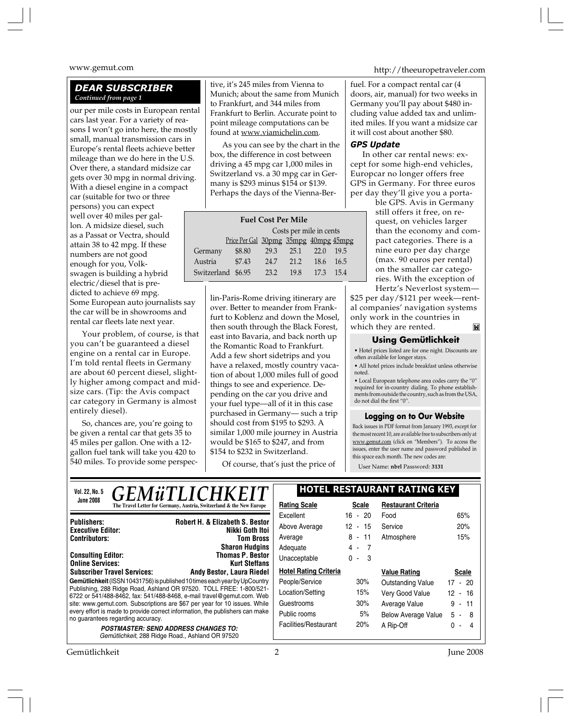#### *DEAR SUBSCRIBER Continued from page 1*

our per mile costs in European rental cars last year. For a variety of reasons I won't go into here, the mostly small, manual transmission cars in Europe's rental fleets achieve better mileage than we do here in the U.S. Over there, a standard midsize car gets over 30 mpg in normal driving. With a diesel engine in a compact car (suitable for two or three persons) you can expect well over 40 miles per gallon. A midsize diesel, such as a Passat or Vectra, should attain 38 to 42 mpg. If these numbers are not good enough for you, Volkswagen is building a hybrid electric/diesel that is predicted to achieve 69 mpg. Some European auto journalists say the car will be in showrooms and rental car fleets late next year.

Your problem, of course, is that you can't be guaranteed a diesel engine on a rental car in Europe. I'm told rental fleets in Germany are about 60 percent diesel, slightly higher among compact and midsize cars. (Tip: the Avis compact car category in Germany is almost entirely diesel).

So, chances are, you're going to be given a rental car that gets 35 to 45 miles per gallon. One with a 12 gallon fuel tank will take you 420 to 540 miles. To provide some perspec-

tive, it's 245 miles from Vienna to Munich; about the same from Munich to Frankfurt, and 344 miles from Frankfurt to Berlin. Accurate point to point mileage computations can be found at www.viamichelin.com.

As you can see by the chart in the box, the difference in cost between driving a 45 mpg car 1,000 miles in Switzerland vs. a 30 mpg car in Germany is \$293 minus \$154 or \$139. Perhaps the days of the Vienna-Ber-

| <b>Fuel Cost Per Mile</b> |                                       |      |      |      |      |  |  |  |  |
|---------------------------|---------------------------------------|------|------|------|------|--|--|--|--|
|                           | Costs per mile in cents               |      |      |      |      |  |  |  |  |
|                           | Price Per Gal 30pmg 35mpg 40mpg 45mpg |      |      |      |      |  |  |  |  |
| Germany                   | \$8.80                                | 29.3 | 25.1 | 22.0 | 19.5 |  |  |  |  |
| Austria                   | \$7.43                                | 24.7 | 21 2 | 18.6 | 16.5 |  |  |  |  |
| Switzerland \$6.95        |                                       | 23.2 | 198  | 17.3 | 154  |  |  |  |  |

lin-Paris-Rome driving itinerary are over. Better to meander from Frankfurt to Koblenz and down the Mosel, then south through the Black Forest, east into Bavaria, and back north up the Romantic Road to Frankfurt. Add a few short sidetrips and you have a relaxed, mostly country vacation of about 1,000 miles full of good things to see and experience. Depending on the car you drive and your fuel type—all of it in this case purchased in Germany— such a trip should cost from \$195 to \$293. A similar 1,000 mile journey in Austria would be \$165 to \$247, and from \$154 to \$232 in Switzerland.

Of course, that's just the price of

www.gemut.com http://theeuropetraveler.com

fuel. For a compact rental car (4 doors, air, manual) for two weeks in Germany you'll pay about \$480 including value added tax and unlimited miles. If you want a midsize car it will cost about another \$80.

#### *GPS Update*

In other car rental news: except for some high-end vehicles, Europcar no longer offers free GPS in Germany. For three euros per day they'll give you a porta-

> ble GPS. Avis in Germany still offers it free, on request, on vehicles larger than the economy and compact categories. There is a nine euro per day charge (max. 90 euros per rental) on the smaller car categories. With the exception of Hertz's Neverlost system—

\$25 per day/\$121 per week—rental companies' navigation systems only work in the countries in which they are rented.M

#### **Using Gemütlichkeit**

• Hotel prices listed are for one night. Discounts are often available for longer stays.

• All hotel prices include breakfast unless otherwise noted.

• Local European telephone area codes carry the "0" required for in-country dialing. To phone establishments from outside the country, such as from the USA, do not dial the first "0".

#### **Logging on to Our Website**

Back issues in PDF format from January 1993, except for the most recent 10, are available free to subscribers only at www.gemut.com (click on "Members"). To access the issues, enter the user name and password published in this space each month. The new codes are:

User Name: **nbrl** Password: **3131**

| <i><b>GEMüTLICHKEIT</b></i><br>Vol. 22, No. 5                                                                                                | <b>HOTEL RESTAURANT RATING KEY</b> |              |                            |              |  |
|----------------------------------------------------------------------------------------------------------------------------------------------|------------------------------------|--------------|----------------------------|--------------|--|
| <b>June 2008</b><br>The Travel Letter for Germany, Austria, Switzerland & the New Europe                                                     | <b>Rating Scale</b>                | <b>Scale</b> | <b>Restaurant Criteria</b> |              |  |
|                                                                                                                                              | Excellent                          | $16 - 20$    | Food                       | 65%          |  |
| <b>Robert H. &amp; Elizabeth S. Bestor</b><br><b>Publishers:</b><br>Nikki Goth Itoi<br><b>Executive Editor:</b>                              | Above Average                      | 12 - 15      | Service                    | 20%          |  |
| <b>Contributors:</b><br><b>Tom Bross</b>                                                                                                     | Average                            | $8 - 11$     | Atmosphere                 | 15%          |  |
| <b>Sharon Hudgins</b>                                                                                                                        | Adequate                           | 4 -<br>- 7   |                            |              |  |
| <b>Thomas P. Bestor</b><br><b>Consulting Editor:</b><br><b>Online Services:</b><br><b>Kurt Steffans</b>                                      | Unacceptable                       | $0 - 3$      |                            |              |  |
| <b>Subscriber Travel Services:</b><br><b>Andy Bestor, Laura Riedel</b>                                                                       | <b>Hotel Rating Criteria</b>       |              | <b>Value Rating</b>        | <b>Scale</b> |  |
| Gemütlichkeit (ISSN 10431756) is published 10 times each year by UpCountry                                                                   | People/Service                     | 30%          | Outstanding Value          | $17 - 20$    |  |
| Publishing, 288 Ridge Road, Ashland OR 97520. TOLL FREE: 1-800/521-<br>6722 or 541/488-8462, fax: 541/488-8468, e-mail travel@gemut.com. Web | Location/Setting                   | 15%          | Very Good Value            | $12 - 16$    |  |
| site: www.gemut.com. Subscriptions are \$67 per year for 10 issues. While                                                                    | Guestrooms                         | 30%          | Average Value              | $9 -$<br>11  |  |
| every effort is made to provide correct information, the publishers can make                                                                 | Public rooms                       | 5%           | <b>Below Average Value</b> | $5 - 8$      |  |
| no guarantees regarding accuracy.<br><b>POSTMASTER: SEND ADDRESS CHANGES TO:</b><br>Gemütlichkeit, 288 Ridge Road., Ashland OR 97520         | Facilities/Restaurant              | 20%          | A Rip-Off                  | ი -<br>4     |  |

Gemütlichkeit 2 June 2008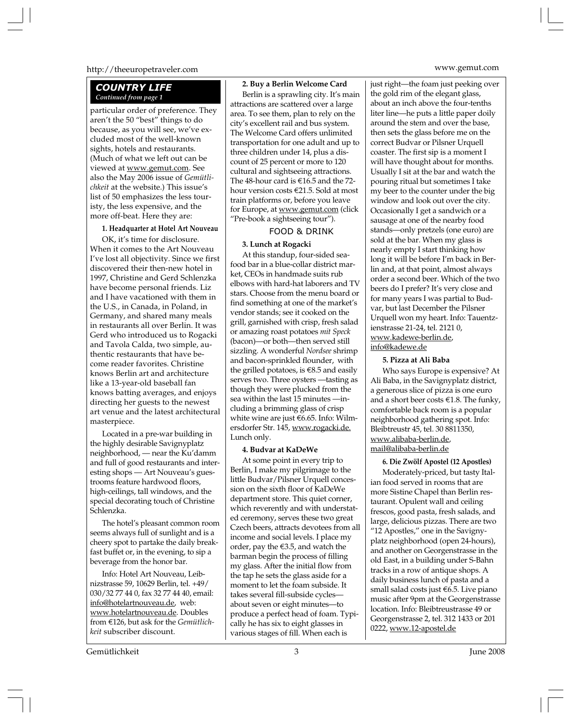#### http://theeuropetraveler.com www.gemut.com

#### *COUNTRY LIFE Continued from page 1*

particular order of preference. They aren't the 50 "best" things to do because, as you will see, we've excluded most of the well-known sights, hotels and restaurants. (Much of what we left out can be viewed at www.gemut.com. See also the May 2006 issue of *Gemütlichkeit* at the website.) This issue's list of 50 emphasizes the less touristy, the less expensive, and the more off-beat. Here they are:

#### **1. Headquarter at Hotel Art Nouveau**

OK, it's time for disclosure. When it comes to the Art Nouveau I've lost all objectivity. Since we first discovered their then-new hotel in 1997, Christine and Gerd Schlenzka have become personal friends. Liz and I have vacationed with them in the U.S., in Canada, in Poland, in Germany, and shared many meals in restaurants all over Berlin. It was Gerd who introduced us to Rogacki and Tavola Calda, two simple, authentic restaurants that have become reader favorites. Christine knows Berlin art and architecture like a 13-year-old baseball fan knows batting averages, and enjoys directing her guests to the newest art venue and the latest architectural masterpiece.

Located in a pre-war building in the highly desirable Savignyplatz neighborhood, — near the Ku'damm and full of good restaurants and interesting shops — Art Nouveau's guestrooms feature hardwood floors, high-ceilings, tall windows, and the special decorating touch of Christine Schlenzka.

The hotel's pleasant common room seems always full of sunlight and is a cheery spot to partake the daily breakfast buffet or, in the evening, to sip a beverage from the honor bar.

Info: Hotel Art Nouveau, Leibnizstrasse 59, 10629 Berlin, tel. +49/ 030/32 77 44 0, fax 32 77 44 40, email: info@hotelartnouveau.de, web: www.hotelartnouveau.de. Doubles from E126, but ask for the *Gemütlichkeit* subscriber discount.

#### **2. Buy a Berlin Welcome Card**

Berlin is a sprawling city. It's main attractions are scattered over a large area. To see them, plan to rely on the city's excellent rail and bus system. The Welcome Card offers unlimited transportation for one adult and up to three children under 14, plus a discount of 25 percent or more to 120 cultural and sightseeing attractions. The 48-hour card is  $\epsilon$ 16.5 and the 72hour version costs E21.5. Sold at most train platforms or, before you leave for Europe, at www.gemut.com (click "Pre-book a sightseeing tour").

#### FOOD & DRINK

#### **3. Lunch at Rogacki**

At this standup, four-sided seafood bar in a blue-collar district market, CEOs in handmade suits rub elbows with hard-hat laborers and TV stars. Choose from the menu board or find something at one of the market's vendor stands; see it cooked on the grill, garnished with crisp, fresh salad or amazing roast potatoes *mit Speck* (bacon)—or both—then served still sizzling. A wonderful *Nordsee* shrimp and bacon-sprinkled flounder, with the grilled potatoes, is  $\epsilon$ 8.5 and easily serves two. Three oysters —tasting as though they were plucked from the sea within the last 15 minutes —including a brimming glass of crisp white wine are just E6.65. Info: Wilmersdorfer Str. 145, www.rogacki.de. Lunch only.

#### **4. Budvar at KaDeWe**

At some point in every trip to Berlin, I make my pilgrimage to the little Budvar/Pilsner Urquell concession on the sixth floor of KaDeWe department store. This quiet corner, which reverently and with understated ceremony, serves these two great Czech beers, attracts devotees from all income and social levels. I place my order, pay the  $\epsilon$ 3.5, and watch the barman begin the process of filling my glass. After the initial flow from the tap he sets the glass aside for a moment to let the foam subside. It takes several fill-subside cycles about seven or eight minutes—to produce a perfect head of foam. Typically he has six to eight glasses in various stages of fill. When each is

just right—the foam just peeking over the gold rim of the elegant glass, about an inch above the four-tenths liter line—he puts a little paper doily around the stem and over the base, then sets the glass before me on the correct Budvar or Pilsner Urquell coaster. The first sip is a moment I will have thought about for months. Usually I sit at the bar and watch the pouring ritual but sometimes I take my beer to the counter under the big window and look out over the city. Occasionally I get a sandwich or a sausage at one of the nearby food stands—only pretzels (one euro) are sold at the bar. When my glass is nearly empty I start thinking how long it will be before I'm back in Berlin and, at that point, almost always order a second beer. Which of the two beers do I prefer? It's very close and for many years I was partial to Budvar, but last December the Pilsner Urquell won my heart. Info: Tauentzienstrasse 21-24, tel. 2121 0, www.kadewe-berlin.de, info@kadewe.de

#### **5. Pizza at Ali Baba**

Who says Europe is expensive? At Ali Baba, in the Savignyplatz district, a generous slice of pizza is one euro and a short beer costs  $\epsilon$ 1.8. The funky, comfortable back room is a popular neighborhood gathering spot. Info: Bleibtreustr 45, tel. 30 8811350, www.alibaba-berlin.de, mail@alibaba-berlin.de

### **6. Die Zwölf Apostel (12 Apostles)**

Moderately-priced, but tasty Italian food served in rooms that are more Sistine Chapel than Berlin restaurant. Opulent wall and ceiling frescos, good pasta, fresh salads, and large, delicious pizzas. There are two "12 Apostles," one in the Savignyplatz neighborhood (open 24-hours), and another on Georgenstrasse in the old East, in a building under S-Bahn tracks in a row of antique shops. A daily business lunch of pasta and a small salad costs just E6.5. Live piano music after 9pm at the Georgenstrasse location. Info: Bleibtreustrasse 49 or Georgenstrasse 2, tel. 312 1433 or 201 0222, www.12-apostel.de

Gemütlichkeit June 2008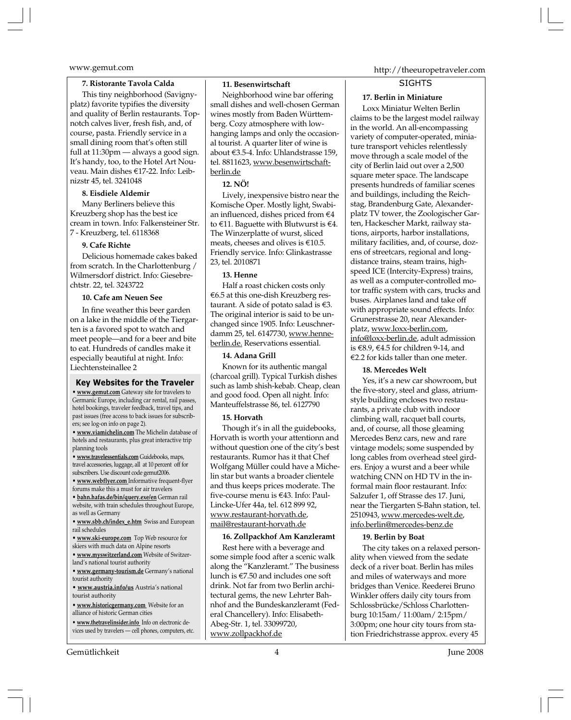#### **7. Ristorante Tavola Calda**

This tiny neighborhood (Savignyplatz) favorite typifies the diversity and quality of Berlin restaurants. Topnotch calves liver, fresh fish, and, of course, pasta. Friendly service in a small dining room that's often still full at 11:30pm — always a good sign. It's handy, too, to the Hotel Art Nouveau. Main dishes E17-22. Info: Leibnizstr 45, tel. 3241048

#### **8. Eisdiele Aldemir**

Many Berliners believe this Kreuzberg shop has the best ice cream in town. Info: Falkensteiner Str. 7 - Kreuzberg, tel. 6118368

#### **9. Cafe Richte**

Delicious homemade cakes baked from scratch. In the Charlottenburg / Wilmersdorf district. Info: Giesebrechtstr. 22, tel. 3243722

#### **10. Cafe am Neuen See**

In fine weather this beer garden on a lake in the middle of the Tiergarten is a favored spot to watch and meet people—and for a beer and bite to eat. Hundreds of candles make it especially beautiful at night. Info: Liechtensteinallee 2

#### **Key Websites for the Traveler**

**• www.gemut.com** Gateway site for travelers to Germanic Europe, including car rental, rail passes, hotel bookings, traveler feedback, travel tips, and past issues (free access to back issues for subscribers; see log-on info on page 2).

**• www.viamichelin.com** The Michelin database of hotels and restaurants, plus great interactive trip planning tools

**• www.travelessentials.com** Guidebooks, maps, travel accessories, luggage, all at 10 percent off for subscribers. Use discount code gemut2006.

**• www.webflyer.com** Informative frequent-flyer forums make this a must for air travelers

**• bahn.hafas.de/bin/query.exe/en** German rail website, with train schedules throughout Europe, as well as Germany

**• www.sbb.ch/index\_e.htm** Swiss and European rail schedules

- **www.ski-europe.com** Top Web resource for
- skiers with much data on Alpine resorts
- **www.myswitzerland.com** Website of Switzerland's national tourist authority

**• www.germany-tourism.de** Germany's national tourist authority

**• www.austria.info/us** Austria's national tourist authority

**• www.historicgermany.com** Website for an alliance of historic German cities

**• www.thetravelinsider.info** Info on electronic devices used by travelers — cell phones, computers, etc.

#### Gemütlichkeit 4 June 2008

#### **11. Besenwirtschaft**

Neighborhood wine bar offering small dishes and well-chosen German wines mostly from Baden Württemberg. Cozy atmosphere with lowhanging lamps and only the occasional tourist. A quarter liter of wine is about E3.5-4. Info: Uhlandstrasse 159, tel. 8811623, www.besenwirtschaftberlin.de

#### **12. NÖ!**

Lively, inexpensive bistro near the Komische Oper. Mostly light, Swabian influenced, dishes priced from  $\epsilon$ 4 to  $\epsilon$ 11. Baguette with Blutwurst is  $\epsilon$ 4. The Winzerplatte of wurst, sliced meats, cheeses and olives is  $€10.5$ . Friendly service. Info: Glinkastrasse 23, tel. 2010871

#### **13. Henne**

Half a roast chicken costs only  $\epsilon$ 6.5 at this one-dish Kreuzberg restaurant. A side of potato salad is  $\epsilon$ 3. The original interior is said to be unchanged since 1905. Info: Leuschnerdamm 25, tel. 6147730, www.henneberlin.de. Reservations essential.

#### **14. Adana Grill**

Known for its authentic mangal (charcoal grill). Typical Turkish dishes such as lamb shish-kebab. Cheap, clean and good food. Open all night. Info: Manteuffelstrasse 86, tel. 6127790

#### **15. Horvath**

Though it's in all the guidebooks, Horvath is worth your attentionn and without question one of the city's best restaurants. Rumor has it that Chef Wolfgang Müller could have a Michelin star but wants a broader clientele and thus keeps prices moderate. The five-course menu is E43. Info: Paul-Lincke-Ufer 44a, tel. 612 899 92, www.restaurant-horvath.de, mail@restaurant-horvath.de

#### **16. Zollpackhof Am Kanzleramt**

Rest here with a beverage and some simple food after a scenic walk along the "Kanzleramt." The business lunch is  $\epsilon$ 7.50 and includes one soft drink. Not far from two Berlin architectural gems, the new Lehrter Bahnhof and the Bundeskanzleramt (Federal Chancellery). Info: Elisabeth-Abeg-Str. 1, tel. 33099720, www.zollpackhof.de

### www.gemut.com http://theeuropetraveler.com

#### **SIGHTS**

#### **17. Berlin in Miniature**

Loxx Miniatur Welten Berlin claims to be the largest model railway in the world. An all-encompassing variety of computer-operated, miniature transport vehicles relentlessly move through a scale model of the city of Berlin laid out over a 2,500 square meter space. The landscape presents hundreds of familiar scenes and buildings, including the Reichstag, Brandenburg Gate, Alexanderplatz TV tower, the Zoologischer Garten, Hackescher Markt, railway stations, airports, harbor installations, military facilities, and, of course, dozens of streetcars, regional and longdistance trains, steam trains, highspeed ICE (Intercity-Express) trains, as well as a computer-controlled motor traffic system with cars, trucks and buses. Airplanes land and take off with appropriate sound effects. Info: Grunerstrasse 20, near Alexanderplatz, www.loxx-berlin.com, info@loxx-berlin.de, adult admission is  $\text{\textsterling}8.9$ ,  $\text{\textsterling}4.5$  for children 9-14, and  $E$ 2.2 for kids taller than one meter.

#### **18. Mercedes Welt**

Yes, it's a new car showroom, but the five-story, steel and glass, atriumstyle building encloses two restaurants, a private club with indoor climbing wall, racquet ball courts, and, of course, all those gleaming Mercedes Benz cars, new and rare vintage models; some suspended by long cables from overhead steel girders. Enjoy a wurst and a beer while watching CNN on HD TV in the informal main floor restaurant. Info: Salzufer 1, off Strasse des 17. Juni, near the Tiergarten S-Bahn station, tel. 2510943, www.mercedes-welt.de, info.berlin@mercedes-benz.de

#### **19. Berlin by Boat**

The city takes on a relaxed personality when viewed from the sedate deck of a river boat. Berlin has miles and miles of waterways and more bridges than Venice. Reederei Bruno Winkler offers daily city tours from Schlossbrücke/Schloss Charlottenburg 10:15am/ 11:00am/ 2:15pm/ 3:00pm; one hour city tours from station Friedrichstrasse approx. every 45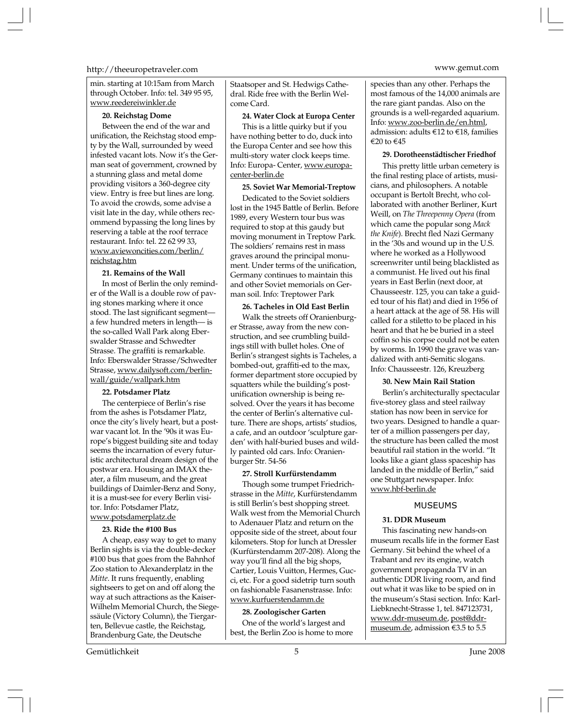#### http://theeuropetraveler.com www.gemut.com

min. starting at 10:15am from March through October. Info: tel. 349 95 95, www.reedereiwinkler.de

#### **20. Reichstag Dome**

Between the end of the war and unification, the Reichstag stood empty by the Wall, surrounded by weed infested vacant lots. Now it's the German seat of government, crowned by a stunning glass and metal dome providing visitors a 360-degree city view. Entry is free but lines are long. To avoid the crowds, some advise a visit late in the day, while others recommend bypassing the long lines by reserving a table at the roof terrace restaurant. Info: tel. 22 62 99 33, www.aviewoncities.com/berlin/ reichstag.htm

#### **21. Remains of the Wall**

In most of Berlin the only reminder of the Wall is a double row of paving stones marking where it once stood. The last significant segment a few hundred meters in length— is the so-called Wall Park along Eberswalder Strasse and Schwedter Strasse. The graffiti is remarkable. Info: Eberswalder Strasse/Schwedter Strasse, www.dailysoft.com/berlinwall/guide/wallpark.htm

#### **22. Potsdamer Platz**

The centerpiece of Berlin's rise from the ashes is Potsdamer Platz, once the city's lively heart, but a postwar vacant lot. In the '90s it was Europe's biggest building site and today seems the incarnation of every futuristic architectural dream design of the postwar era. Housing an IMAX theater, a film museum, and the great buildings of Daimler-Benz and Sony, it is a must-see for every Berlin visitor. Info: Potsdamer Platz, www.potsdamerplatz.de

#### **23. Ride the #100 Bus**

A cheap, easy way to get to many Berlin sights is via the double-decker #100 bus that goes from the Bahnhof Zoo station to Alexanderplatz in the *Mitte*. It runs frequently, enabling sightseers to get on and off along the way at such attractions as the Kaiser-Wilhelm Memorial Church, the Siegessäule (Victory Column), the Tiergarten, Bellevue castle, the Reichstag, Brandenburg Gate, the Deutsche

Staatsoper and St. Hedwigs Cathedral. Ride free with the Berlin Welcome Card.

#### **24. Water Clock at Europa Center**

This is a little quirky but if you have nothing better to do, duck into the Europa Center and see how this multi-story water clock keeps time. Info: Europa- Center, www.europacenter-berlin.de

#### **25. Soviet War Memorial-Treptow**

Dedicated to the Soviet soldiers lost in the 1945 Battle of Berlin. Before 1989, every Western tour bus was required to stop at this gaudy but moving monument in Treptow Park. The soldiers' remains rest in mass graves around the principal monument. Under terms of the unification, Germany continues to maintain this and other Soviet memorials on German soil. Info: Treptower Park

#### **26. Tacheles in Old East Berlin**

Walk the streets off Oranienburger Strasse, away from the new construction, and see crumbling buildings still with bullet holes. One of Berlin's strangest sights is Tacheles, a bombed-out, graffiti-ed to the max, former department store occupied by squatters while the building's postunification ownership is being resolved. Over the years it has become the center of Berlin's alternative culture. There are shops, artists' studios, a cafe, and an outdoor 'sculpture garden' with half-buried buses and wildly painted old cars. Info: Oranienburger Str. 54-56

#### **27. Stroll Kurfürstendamm**

Though some trumpet Friedrichstrasse in the *Mitte*, Kurfürstendamm is still Berlin's best shopping street. Walk west from the Memorial Church to Adenauer Platz and return on the opposite side of the street, about four kilometers. Stop for lunch at Dressler (Kurfürstendamm 207-208). Along the way you'll find all the big shops, Cartier, Louis Vuitton, Hermes, Gucci, etc. For a good sidetrip turn south on fashionable Fasanenstrasse. Info: www.kurfuerstendamm.de

#### **28. Zoologischer Garten**

One of the world's largest and best, the Berlin Zoo is home to more species than any other. Perhaps the most famous of the 14,000 animals are the rare giant pandas. Also on the grounds is a well-regarded aquarium. Info: www.zoo-berlin.de/en.html, admission: adults E12 to E18, families E20 to E45

#### **29. Dorotheenstädtischer Friedhof**

This pretty little urban cemetery is the final resting place of artists, musicians, and philosophers. A notable occupant is Bertolt Brecht, who collaborated with another Berliner, Kurt Weill, on *The Threepenny Opera* (from which came the popular song *Mack the Knife*). Brecht fled Nazi Germany in the '30s and wound up in the U.S. where he worked as a Hollywood screenwriter until being blacklisted as a communist. He lived out his final years in East Berlin (next door, at Chausseestr. 125, you can take a guided tour of his flat) and died in 1956 of a heart attack at the age of 58. His will called for a stiletto to be placed in his heart and that he be buried in a steel coffin so his corpse could not be eaten by worms. In 1990 the grave was vandalized with anti-Semitic slogans. Info: Chausseestr. 126, Kreuzberg

#### **30. New Main Rail Station**

Berlin's architecturally spectacular five-storey glass and steel railway station has now been in service for two years. Designed to handle a quarter of a million passengers per day, the structure has been called the most beautiful rail station in the world. "It looks like a giant glass spaceship has landed in the middle of Berlin," said one Stuttgart newspaper. Info: www.hbf-berlin.de

#### MUSEUMS

#### **31. DDR Museum**

This fascinating new hands-on museum recalls life in the former East Germany. Sit behind the wheel of a Trabant and rev its engine, watch government propaganda TV in an authentic DDR living room, and find out what it was like to be spied on in the museum's Stasi section. Info: Karl-Liebknecht-Strasse 1, tel. 847123731, www.ddr-museum.de, post@ddrmuseum.de, admission E3.5 to 5.5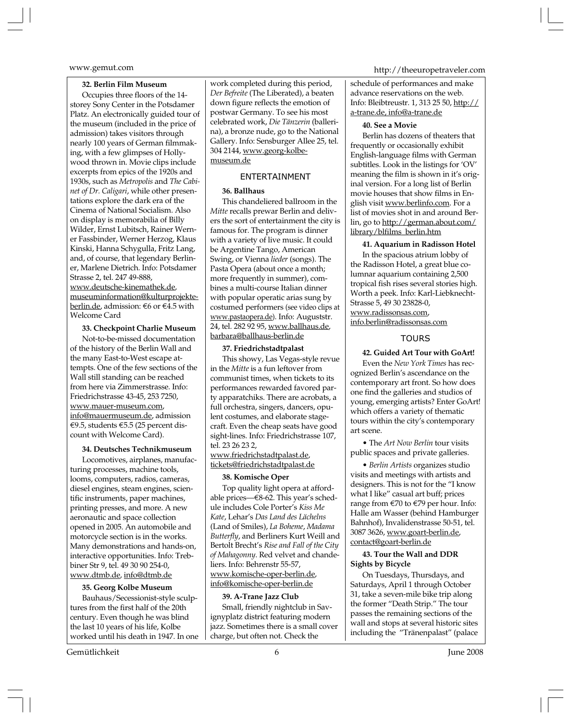#### **32. Berlin Film Museum**

Occupies three floors of the 14 storey Sony Center in the Potsdamer Platz. An electronically guided tour of the museum (included in the price of admission) takes visitors through nearly 100 years of German filmmaking, with a few glimpses of Hollywood thrown in. Movie clips include excerpts from epics of the 1920s and 1930s, such as *Metropolis* and *The Cabinet of Dr. Caligari*, while other presentations explore the dark era of the Cinema of National Socialism. Also on display is memorabilia of Billy Wilder, Ernst Lubitsch, Rainer Werner Fassbinder, Werner Herzog, Klaus Kinski, Hanna Schygulla, Fritz Lang, and, of course, that legendary Berliner, Marlene Dietrich. Info: Potsdamer Strasse 2, tel. 247 49-888, www.deutsche-kinemathek.de, museuminformation@kulturprojekteberlin.de, admission: €6 or €4.5 with Welcome Card

#### **33. Checkpoint Charlie Museum**

Not-to-be-missed documentation of the history of the Berlin Wall and the many East-to-West escape attempts. One of the few sections of the Wall still standing can be reached from here via Zimmerstrasse. Info: Friedrichstrasse 43-45, 253 7250, www.mauer-museum.com, info@mauermuseum.de, admission E9.5, students E5.5 (25 percent discount with Welcome Card).

#### **34. Deutsches Technikmuseum**

Locomotives, airplanes, manufacturing processes, machine tools, looms, computers, radios, cameras, diesel engines, steam engines, scientific instruments, paper machines, printing presses, and more. A new aeronautic and space collection opened in 2005. An automobile and motorcycle section is in the works. Many demonstrations and hands-on, interactive opportunities. Info: Trebbiner Str 9, tel. 49 30 90 254-0, www.dtmb.de, info@dtmb.de

#### **35. Georg Kolbe Museum**

Bauhaus/Secessionist-style sculptures from the first half of the 20th century. Even though he was blind the last 10 years of his life, Kolbe worked until his death in 1947. In one work completed during this period, *Der Befreite* (The Liberated), a beaten down figure reflects the emotion of postwar Germany. To see his most celebrated work, *Die Tänzerin* (ballerina), a bronze nude, go to the National Gallery. Info: Sensburger Allee 25, tel. 304 2144, www.georg-kolbemuseum.de

#### ENTERTAINMENT

#### **36. Ballhaus**

This chandeliered ballroom in the *Mitte* recalls prewar Berlin and delivers the sort of entertainment the city is famous for. The program is dinner with a variety of live music. It could be Argentine Tango, American Swing, or Vienna *lieder* (songs). The Pasta Opera (about once a month; more frequently in summer), combines a multi-course Italian dinner with popular operatic arias sung by costumed performers (see video clips at www.pastaopera.de). Info: Auguststr. 24, tel. 282 92 95, www.ballhaus.de, barbara@ballhaus-berlin.de

#### **37. Friedrichstadtpalast**

This showy, Las Vegas-style revue in the *Mitte* is a fun leftover from communist times, when tickets to its performances rewarded favored party apparatchiks. There are acrobats, a full orchestra, singers, dancers, opulent costumes, and elaborate stagecraft. Even the cheap seats have good sight-lines. Info: Friedrichstrasse 107, tel. 23 26 23 2,

#### www.friedrichstadtpalast.de, tickets@friedrichstadtpalast.de

#### **38. Komische Oper**

Top quality light opera at affordable prices—E8-62. This year's schedule includes Cole Porter's *Kiss Me Kate*, Lehar's *Das Land des Lächelns* (Land of Smiles), *La Boheme*, *Madama Butterfly*, and Berliners Kurt Weill and Bertolt Brecht's *Rise and Fall of the City of Mahagonny*. Red velvet and chandeliers. Info: Behrenstr 55-57, www.komische-oper-berlin.de, info@komische-oper-berlin.de

#### **39. A-Trane Jazz Club**

Small, friendly nightclub in Savignyplatz district featuring modern jazz. Sometimes there is a small cover charge, but often not. Check the

www.gemut.com http://theeuropetraveler.com

schedule of performances and make advance reservations on the web. Info: Bleibtreustr. 1, 313 25 50, http:// a-trane.de, info@a-trane.de

#### **40. See a Movie**

Berlin has dozens of theaters that frequently or occasionally exhibit English-language films with German subtitles. Look in the listings for 'OV' meaning the film is shown in it's original version. For a long list of Berlin movie houses that show films in English visit www.berlinfo.com. For a list of movies shot in and around Berlin, go to http://german.about.com/ library/blfilms\_berlin.htm

#### **41. Aquarium in Radisson Hotel**

In the spacious atrium lobby of the Radisson Hotel, a great blue columnar aquarium containing 2,500 tropical fish rises several stories high. Worth a peek. Info: Karl-Liebknecht-Strasse 5, 49 30 23828-0, www.radissonsas.com, info.berlin@radissonsas.com

#### **TOURS**

#### **42. Guided Art Tour with GoArt!**

Even the *New York Times* has recognized Berlin's ascendance on the contemporary art front. So how does one find the galleries and studios of young, emerging artists? Enter GoArt! which offers a variety of thematic tours within the city's contemporary art scene.

• The *Art Now Berlin* tour visits public spaces and private galleries.

• *Berlin Artists* organizes studio visits and meetings with artists and designers. This is not for the "I know what I like" casual art buff; prices range from E70 to E79 per hour. Info: Halle am Wasser (behind Hamburger Bahnhof), Invalidenstrasse 50-51, tel. 3087 3626, www.goart-berlin.de, contact@goart-berlin.de

#### **43. Tour the Wall and DDR Sights by Bicycle**

On Tuesdays, Thursdays, and Saturdays, April 1 through October 31, take a seven-mile bike trip along the former "Death Strip." The tour passes the remaining sections of the wall and stops at several historic sites including the "Tränenpalast" (palace

Gemütlichkeit 6 June 2008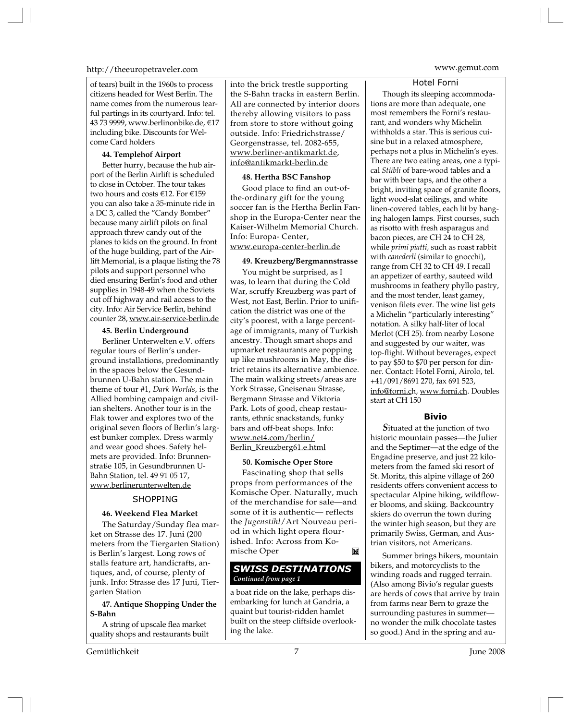#### http://theeuropetraveler.com www.gemut.com

of tears) built in the 1960s to process citizens headed for West Berlin. The name comes from the numerous tearful partings in its courtyard. Info: tel. 43 73 9999, www.berlinonbike.de, €17 including bike. Discounts for Welcome Card holders

#### **44. Templehof Airport**

Better hurry, because the hub airport of the Berlin Airlift is scheduled to close in October. The tour takes two hours and costs E12. For E159 you can also take a 35-minute ride in a DC 3, called the "Candy Bomber" because many airlift pilots on final approach threw candy out of the planes to kids on the ground. In front of the huge building, part of the Airlift Memorial, is a plaque listing the 78 pilots and support personnel who died ensuring Berlin's food and other supplies in 1948-49 when the Soviets cut off highway and rail access to the city. Info: Air Service Berlin, behind counter 28, www.air-service-berlin.de

#### **45. Berlin Underground**

Berliner Unterwelten e.V. offers regular tours of Berlin's underground installations, predominantly in the spaces below the Gesundbrunnen U-Bahn station. The main theme of tour #1, *Dark Worlds*, is the Allied bombing campaign and civilian shelters. Another tour is in the Flak tower and explores two of the original seven floors of Berlin's largest bunker complex. Dress warmly and wear good shoes. Safety helmets are provided. Info: Brunnenstraße 105, in Gesundbrunnen U-Bahn Station, tel. 49 91 05 17, www.berlinerunterwelten.de

#### SHOPPING

#### **46. Weekend Flea Market**

The Saturday/Sunday flea market on Strasse des 17. Juni (200 meters from the Tiergarten Station) is Berlin's largest. Long rows of stalls feature art, handicrafts, antiques, and, of course, plenty of junk. Info: Strasse des 17 Juni, Tiergarten Station

**47. Antique Shopping Under the S-Bahn**

A string of upscale flea market quality shops and restaurants built into the brick trestle supporting the S-Bahn tracks in eastern Berlin. All are connected by interior doors thereby allowing visitors to pass from store to store without going outside. Info: Friedrichstrasse/ Georgenstrasse, tel. 2082-655, www.berliner-antikmarkt.de, info@antikmarkt-berlin.de

#### **48. Hertha BSC Fanshop**

Good place to find an out-ofthe-ordinary gift for the young soccer fan is the Hertha Berlin Fanshop in the Europa-Center near the Kaiser-Wilhelm Memorial Church. Info: Europa- Center, www.europa-center-berlin.de

#### **49. Kreuzberg/Bergmannstrasse**

You might be surprised, as I was, to learn that during the Cold War, scruffy Kreuzberg was part of West, not East, Berlin. Prior to unification the district was one of the city's poorest, with a large percentage of immigrants, many of Turkish ancestry. Though smart shops and upmarket restaurants are popping up like mushrooms in May, the district retains its alternative ambience. The main walking streets/areas are York Strasse, Gneisenau Strasse, Bergmann Strasse and Viktoria Park. Lots of good, cheap restaurants, ethnic snackstands, funky bars and off-beat shops. Info: www.net4.com/berlin/ Berlin\_Kreuzberg61.e.html

#### **50. Komische Oper Store**

Fascinating shop that sells props from performances of the Komische Oper. Naturally, much of the merchandise for sale—and some of it is authentic— reflects the *Jugenstihl*/Art Nouveau period in which light opera flourished. Info: Across from Komische Oper M

#### *SWISS DESTINATIONS Continued from page 1*

a boat ride on the lake, perhaps disembarking for lunch at Gandria, a quaint but tourist-ridden hamlet built on the steep cliffside overlooking the lake.

Hotel Forni

Though its sleeping accommodations are more than adequate, one most remembers the Forni's restaurant, and wonders why Michelin withholds a star. This is serious cuisine but in a relaxed atmosphere, perhaps not a plus in Michelin's eyes. There are two eating areas, one a typical *Stübli* of bare-wood tables and a bar with beer taps, and the other a bright, inviting space of granite floors, light wood-slat ceilings, and white linen-covered tables, each lit by hanging halogen lamps. First courses, such as risotto with fresh asparagus and bacon pieces, are CH 24 to CH 28, while *primi piatti,* such as roast rabbit with *canederli* (similar to gnocchi), range from CH 32 to CH 49. I recall an appetizer of earthy, sauteed wild mushrooms in feathery phyllo pastry, and the most tender, least gamey, venison filets ever. The wine list gets a Michelin "particularly interesting" notation. A silky half-liter of local Merlot (CH 25). from nearby Losone and suggested by our waiter, was top-flight. Without beverages, expect to pay \$50 to \$70 per person for dinner. Contact: Hotel Forni, Airolo, tel. +41/091/8691 270, fax 691 523, info@forni.ch, www.forni.ch. Doubles start at CH 150

#### **Bivio**

*S*ituated at the junction of two historic mountain passes—the Julier and the Septimer—at the edge of the Engadine preserve, and just 22 kilometers from the famed ski resort of St. Moritz, this alpine village of 260 residents offers convenient access to spectacular Alpine hiking, wildflower blooms, and skiing. Backcountry skiers do overrun the town during the winter high season, but they are primarily Swiss, German, and Austrian visitors, not Americans.

Summer brings hikers, mountain bikers, and motorcyclists to the winding roads and rugged terrain. (Also among Bivio's regular guests are herds of cows that arrive by train from farms near Bern to graze the surrounding pastures in summer no wonder the milk chocolate tastes so good.) And in the spring and au-

Gemütlichkeit June 2008